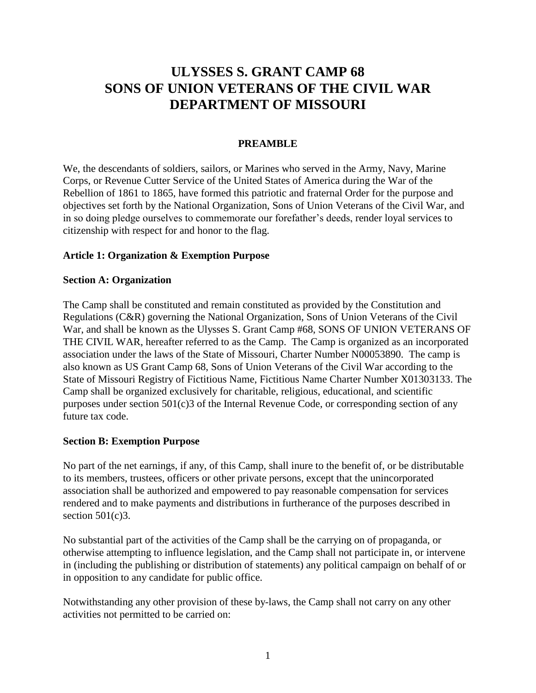# **ULYSSES S. GRANT CAMP 68 SONS OF UNION VETERANS OF THE CIVIL WAR DEPARTMENT OF MISSOURI**

#### **PREAMBLE**

We, the descendants of soldiers, sailors, or Marines who served in the Army, Navy, Marine Corps, or Revenue Cutter Service of the United States of America during the War of the Rebellion of 1861 to 1865, have formed this patriotic and fraternal Order for the purpose and objectives set forth by the National Organization, Sons of Union Veterans of the Civil War, and in so doing pledge ourselves to commemorate our forefather's deeds, render loyal services to citizenship with respect for and honor to the flag.

#### **Article 1: Organization & Exemption Purpose**

#### **Section A: Organization**

The Camp shall be constituted and remain constituted as provided by the Constitution and Regulations (C&R) governing the National Organization, Sons of Union Veterans of the Civil War, and shall be known as the Ulysses S. Grant Camp #68, SONS OF UNION VETERANS OF THE CIVIL WAR, hereafter referred to as the Camp. The Camp is organized as an incorporated association under the laws of the State of Missouri, Charter Number N00053890. The camp is also known as US Grant Camp 68, Sons of Union Veterans of the Civil War according to the State of Missouri Registry of Fictitious Name, Fictitious Name Charter Number X01303133. The Camp shall be organized exclusively for charitable, religious, educational, and scientific purposes under section 501(c)3 of the Internal Revenue Code, or corresponding section of any future tax code.

#### **Section B: Exemption Purpose**

No part of the net earnings, if any, of this Camp, shall inure to the benefit of, or be distributable to its members, trustees, officers or other private persons, except that the unincorporated association shall be authorized and empowered to pay reasonable compensation for services rendered and to make payments and distributions in furtherance of the purposes described in section  $501(c)3$ .

No substantial part of the activities of the Camp shall be the carrying on of propaganda, or otherwise attempting to influence legislation, and the Camp shall not participate in, or intervene in (including the publishing or distribution of statements) any political campaign on behalf of or in opposition to any candidate for public office.

Notwithstanding any other provision of these by-laws, the Camp shall not carry on any other activities not permitted to be carried on: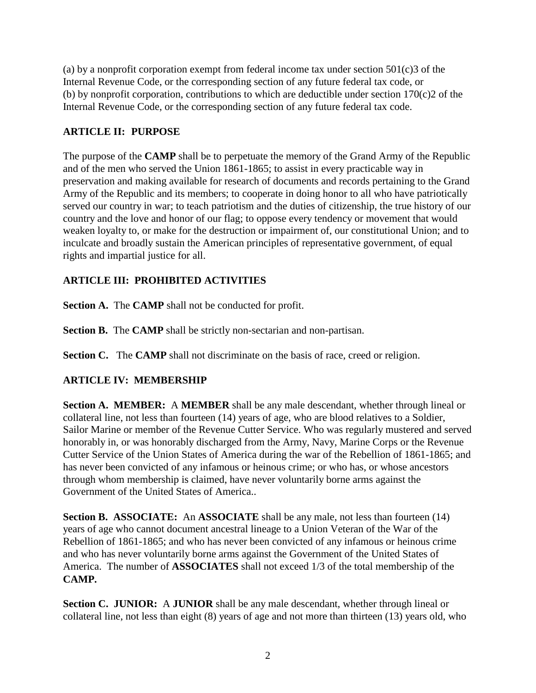(a) by a nonprofit corporation exempt from federal income tax under section  $501(c)3$  of the Internal Revenue Code, or the corresponding section of any future federal tax code, or (b) by nonprofit corporation, contributions to which are deductible under section  $170(c)2$  of the Internal Revenue Code, or the corresponding section of any future federal tax code.

### **ARTICLE II: PURPOSE**

The purpose of the **CAMP** shall be to perpetuate the memory of the Grand Army of the Republic and of the men who served the Union 1861-1865; to assist in every practicable way in preservation and making available for research of documents and records pertaining to the Grand Army of the Republic and its members; to cooperate in doing honor to all who have patriotically served our country in war; to teach patriotism and the duties of citizenship, the true history of our country and the love and honor of our flag; to oppose every tendency or movement that would weaken loyalty to, or make for the destruction or impairment of, our constitutional Union; and to inculcate and broadly sustain the American principles of representative government, of equal rights and impartial justice for all.

### **ARTICLE III: PROHIBITED ACTIVITIES**

**Section A.** The **CAMP** shall not be conducted for profit.

**Section B.** The **CAMP** shall be strictly non-sectarian and non-partisan.

**Section C.** The **CAMP** shall not discriminate on the basis of race, creed or religion.

### **ARTICLE IV: MEMBERSHIP**

**Section A. MEMBER:** A **MEMBER** shall be any male descendant, whether through lineal or collateral line, not less than fourteen (14) years of age, who are blood relatives to a Soldier, Sailor Marine or member of the Revenue Cutter Service. Who was regularly mustered and served honorably in, or was honorably discharged from the Army, Navy, Marine Corps or the Revenue Cutter Service of the Union States of America during the war of the Rebellion of 1861-1865; and has never been convicted of any infamous or heinous crime; or who has, or whose ancestors through whom membership is claimed, have never voluntarily borne arms against the Government of the United States of America..

**Section B. ASSOCIATE:** An **ASSOCIATE** shall be any male, not less than fourteen (14) years of age who cannot document ancestral lineage to a Union Veteran of the War of the Rebellion of 1861-1865; and who has never been convicted of any infamous or heinous crime and who has never voluntarily borne arms against the Government of the United States of America. The number of **ASSOCIATES** shall not exceed 1/3 of the total membership of the **CAMP.**

**Section C. JUNIOR:** A **JUNIOR** shall be any male descendant, whether through lineal or collateral line, not less than eight (8) years of age and not more than thirteen (13) years old, who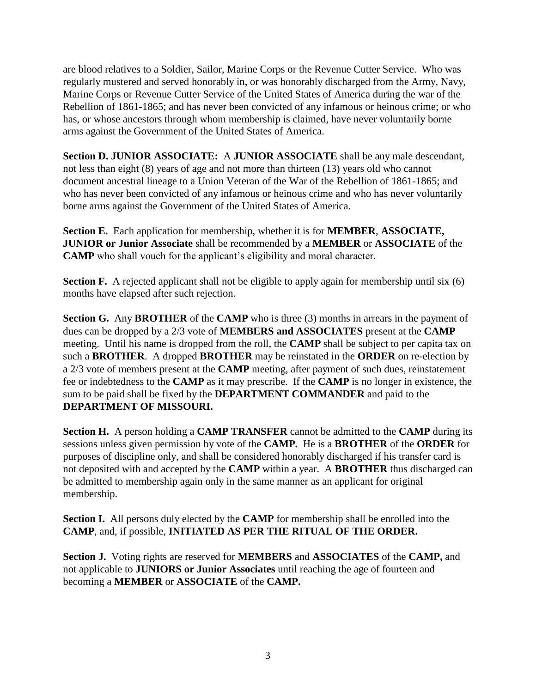are blood relatives to a Soldier, Sailor, Marine Corps or the Revenue Cutter Service. Who was regularly mustered and served honorably in, or was honorably discharged from the Army, Navy, Marine Corps or Revenue Cutter Service of the United States of America during the war of the Rebellion of 1861-1865; and has never been convicted of any infamous or heinous crime; or who has, or whose ancestors through whom membership is claimed, have never voluntarily borne arms against the Government of the United States of America.

**Section D. JUNIOR ASSOCIATE:** A **JUNIOR ASSOCIATE** shall be any male descendant, not less than eight (8) years of age and not more than thirteen (13) years old who cannot document ancestral lineage to a Union Veteran of the War of the Rebellion of 1861-1865; and who has never been convicted of any infamous or heinous crime and who has never voluntarily borne arms against the Government of the United States of America.

**Section E.** Each application for membership, whether it is for **MEMBER**, **ASSOCIATE, JUNIOR or Junior Associate** shall be recommended by a **MEMBER** or **ASSOCIATE** of the **CAMP** who shall vouch for the applicant's eligibility and moral character.

**Section F.** A rejected applicant shall not be eligible to apply again for membership until six (6) months have elapsed after such rejection.

**Section G.** Any **BROTHER** of the **CAMP** who is three (3) months in arrears in the payment of dues can be dropped by a 2/3 vote of **MEMBERS and ASSOCIATES** present at the **CAMP** meeting. Until his name is dropped from the roll, the **CAMP** shall be subject to per capita tax on such a **BROTHER**. A dropped **BROTHER** may be reinstated in the **ORDER** on re-election by a 2/3 vote of members present at the **CAMP** meeting, after payment of such dues, reinstatement fee or indebtedness to the **CAMP** as it may prescribe. If the **CAMP** is no longer in existence, the sum to be paid shall be fixed by the **DEPARTMENT COMMANDER** and paid to the **DEPARTMENT OF MISSOURI.** 

**Section H.** A person holding a **CAMP TRANSFER** cannot be admitted to the **CAMP** during its sessions unless given permission by vote of the **CAMP.** He is a **BROTHER** of the **ORDER** for purposes of discipline only, and shall be considered honorably discharged if his transfer card is not deposited with and accepted by the **CAMP** within a year. A **BROTHER** thus discharged can be admitted to membership again only in the same manner as an applicant for original membership.

**Section I.** All persons duly elected by the **CAMP** for membership shall be enrolled into the **CAMP**, and, if possible, **INITIATED AS PER THE RITUAL OF THE ORDER.**

**Section J.** Voting rights are reserved for **MEMBERS** and **ASSOCIATES** of the **CAMP,** and not applicable to **JUNIORS or Junior Associates** until reaching the age of fourteen and becoming a **MEMBER** or **ASSOCIATE** of the **CAMP.**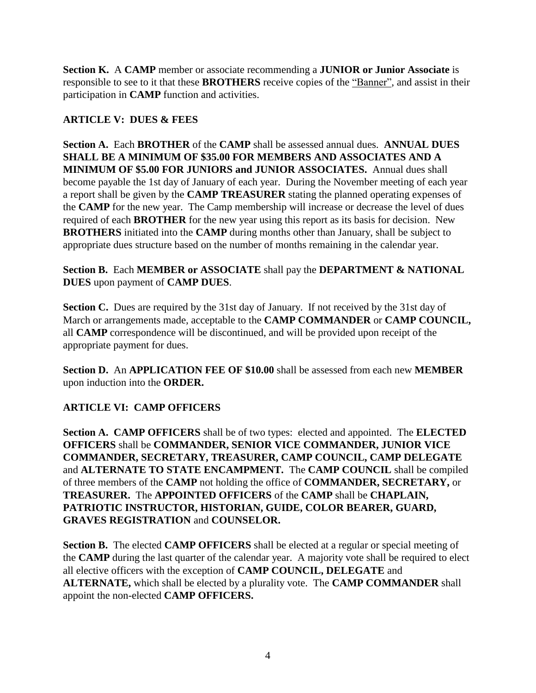**Section K.** A **CAMP** member or associate recommending a **JUNIOR or Junior Associate** is responsible to see to it that these **BROTHERS** receive copies of the "Banner", and assist in their participation in **CAMP** function and activities.

### **ARTICLE V: DUES & FEES**

**Section A.** Each **BROTHER** of the **CAMP** shall be assessed annual dues. **ANNUAL DUES SHALL BE A MINIMUM OF \$35.00 FOR MEMBERS AND ASSOCIATES AND A MINIMUM OF \$5.00 FOR JUNIORS and JUNIOR ASSOCIATES.** Annual dues shall become payable the 1st day of January of each year. During the November meeting of each year a report shall be given by the **CAMP TREASURER** stating the planned operating expenses of the **CAMP** for the new year. The Camp membership will increase or decrease the level of dues required of each **BROTHER** for the new year using this report as its basis for decision. New **BROTHERS** initiated into the **CAMP** during months other than January, shall be subject to appropriate dues structure based on the number of months remaining in the calendar year.

**Section B.** Each **MEMBER or ASSOCIATE** shall pay the **DEPARTMENT & NATIONAL DUES** upon payment of **CAMP DUES**.

**Section C.** Dues are required by the 31st day of January. If not received by the 31st day of March or arrangements made, acceptable to the **CAMP COMMANDER** or **CAMP COUNCIL,**  all **CAMP** correspondence will be discontinued, and will be provided upon receipt of the appropriate payment for dues.

**Section D.** An **APPLICATION FEE OF \$10.00** shall be assessed from each new **MEMBER** upon induction into the **ORDER.**

### **ARTICLE VI: CAMP OFFICERS**

**Section A. CAMP OFFICERS** shall be of two types: elected and appointed. The **ELECTED OFFICERS** shall be **COMMANDER, SENIOR VICE COMMANDER, JUNIOR VICE COMMANDER, SECRETARY, TREASURER, CAMP COUNCIL, CAMP DELEGATE**  and **ALTERNATE TO STATE ENCAMPMENT.** The **CAMP COUNCIL** shall be compiled of three members of the **CAMP** not holding the office of **COMMANDER, SECRETARY,** or **TREASURER.** The **APPOINTED OFFICERS** of the **CAMP** shall be **CHAPLAIN, PATRIOTIC INSTRUCTOR, HISTORIAN, GUIDE, COLOR BEARER, GUARD, GRAVES REGISTRATION** and **COUNSELOR.**

**Section B.** The elected **CAMP OFFICERS** shall be elected at a regular or special meeting of the **CAMP** during the last quarter of the calendar year. A majority vote shall be required to elect all elective officers with the exception of **CAMP COUNCIL, DELEGATE** and **ALTERNATE,** which shall be elected by a plurality vote. The **CAMP COMMANDER** shall appoint the non-elected **CAMP OFFICERS.**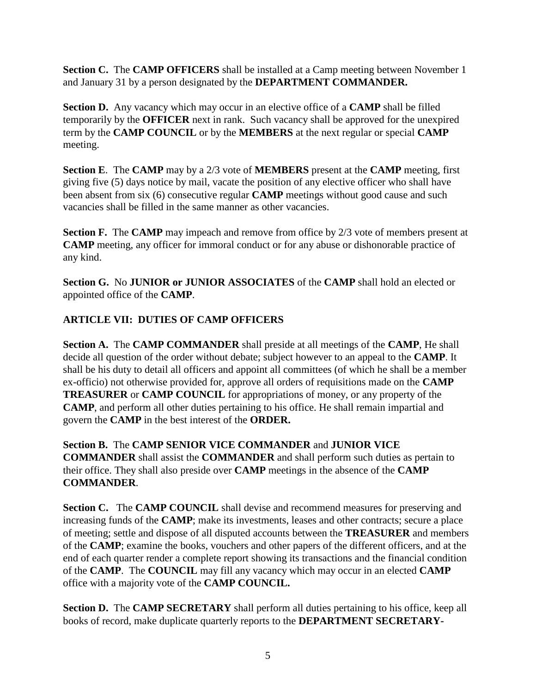**Section C.** The **CAMP OFFICERS** shall be installed at a Camp meeting between November 1 and January 31 by a person designated by the **DEPARTMENT COMMANDER.**

**Section D.** Any vacancy which may occur in an elective office of a **CAMP** shall be filled temporarily by the **OFFICER** next in rank. Such vacancy shall be approved for the unexpired term by the **CAMP COUNCIL** or by the **MEMBERS** at the next regular or special **CAMP**  meeting.

**Section E**. The **CAMP** may by a 2/3 vote of **MEMBERS** present at the **CAMP** meeting, first giving five (5) days notice by mail, vacate the position of any elective officer who shall have been absent from six (6) consecutive regular **CAMP** meetings without good cause and such vacancies shall be filled in the same manner as other vacancies.

**Section F.** The **CAMP** may impeach and remove from office by 2/3 vote of members present at **CAMP** meeting, any officer for immoral conduct or for any abuse or dishonorable practice of any kind.

**Section G.** No **JUNIOR or JUNIOR ASSOCIATES** of the **CAMP** shall hold an elected or appointed office of the **CAMP**.

### **ARTICLE VII: DUTIES OF CAMP OFFICERS**

**Section A.** The **CAMP COMMANDER** shall preside at all meetings of the **CAMP**, He shall decide all question of the order without debate; subject however to an appeal to the **CAMP**. It shall be his duty to detail all officers and appoint all committees (of which he shall be a member ex-officio) not otherwise provided for, approve all orders of requisitions made on the **CAMP TREASURER** or **CAMP COUNCIL** for appropriations of money, or any property of the **CAMP**, and perform all other duties pertaining to his office. He shall remain impartial and govern the **CAMP** in the best interest of the **ORDER.** 

**Section B.** The **CAMP SENIOR VICE COMMANDER** and **JUNIOR VICE COMMANDER** shall assist the **COMMANDER** and shall perform such duties as pertain to their office. They shall also preside over **CAMP** meetings in the absence of the **CAMP COMMANDER**.

**Section C.** The **CAMP COUNCIL** shall devise and recommend measures for preserving and increasing funds of the **CAMP**; make its investments, leases and other contracts; secure a place of meeting; settle and dispose of all disputed accounts between the **TREASURER** and members of the **CAMP**; examine the books, vouchers and other papers of the different officers, and at the end of each quarter render a complete report showing its transactions and the financial condition of the **CAMP**. The **COUNCIL** may fill any vacancy which may occur in an elected **CAMP**  office with a majority vote of the **CAMP COUNCIL.** 

**Section D.** The **CAMP SECRETARY** shall perform all duties pertaining to his office, keep all books of record, make duplicate quarterly reports to the **DEPARTMENT SECRETARY-**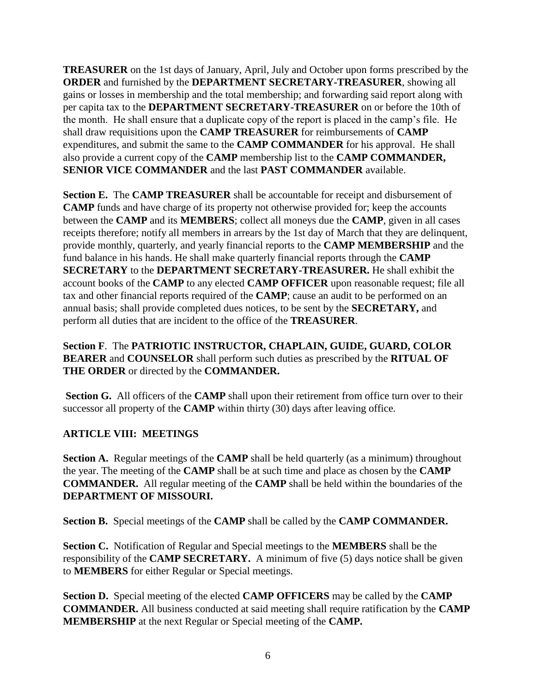**TREASURER** on the 1st days of January, April, July and October upon forms prescribed by the **ORDER** and furnished by the **DEPARTMENT SECRETARY-TREASURER**, showing all gains or losses in membership and the total membership; and forwarding said report along with per capita tax to the **DEPARTMENT SECRETARY-TREASURER** on or before the 10th of the month. He shall ensure that a duplicate copy of the report is placed in the camp's file. He shall draw requisitions upon the **CAMP TREASURER** for reimbursements of **CAMP** expenditures, and submit the same to the **CAMP COMMANDER** for his approval. He shall also provide a current copy of the **CAMP** membership list to the **CAMP COMMANDER, SENIOR VICE COMMANDER** and the last **PAST COMMANDER** available.

**Section E.** The **CAMP TREASURER** shall be accountable for receipt and disbursement of **CAMP** funds and have charge of its property not otherwise provided for; keep the accounts between the **CAMP** and its **MEMBERS**; collect all moneys due the **CAMP**, given in all cases receipts therefore; notify all members in arrears by the 1st day of March that they are delinquent, provide monthly, quarterly, and yearly financial reports to the **CAMP MEMBERSHIP** and the fund balance in his hands. He shall make quarterly financial reports through the **CAMP SECRETARY** to the **DEPARTMENT SECRETARY-TREASURER.** He shall exhibit the account books of the **CAMP** to any elected **CAMP OFFICER** upon reasonable request; file all tax and other financial reports required of the **CAMP**; cause an audit to be performed on an annual basis; shall provide completed dues notices, to be sent by the **SECRETARY,** and perform all duties that are incident to the office of the **TREASURER**.

**Section F**. The **PATRIOTIC INSTRUCTOR, CHAPLAIN, GUIDE, GUARD, COLOR BEARER** and **COUNSELOR** shall perform such duties as prescribed by the **RITUAL OF THE ORDER** or directed by the **COMMANDER.**

**Section G.** All officers of the **CAMP** shall upon their retirement from office turn over to their successor all property of the **CAMP** within thirty (30) days after leaving office.

### **ARTICLE VIII: MEETINGS**

**Section A.** Regular meetings of the **CAMP** shall be held quarterly (as a minimum) throughout the year. The meeting of the **CAMP** shall be at such time and place as chosen by the **CAMP COMMANDER.** All regular meeting of the **CAMP** shall be held within the boundaries of the **DEPARTMENT OF MISSOURI.**

**Section B.** Special meetings of the **CAMP** shall be called by the **CAMP COMMANDER.**

**Section C.** Notification of Regular and Special meetings to the **MEMBERS** shall be the responsibility of the **CAMP SECRETARY.** A minimum of five (5) days notice shall be given to **MEMBERS** for either Regular or Special meetings.

**Section D.** Special meeting of the elected **CAMP OFFICERS** may be called by the **CAMP COMMANDER.** All business conducted at said meeting shall require ratification by the **CAMP MEMBERSHIP** at the next Regular or Special meeting of the **CAMP.**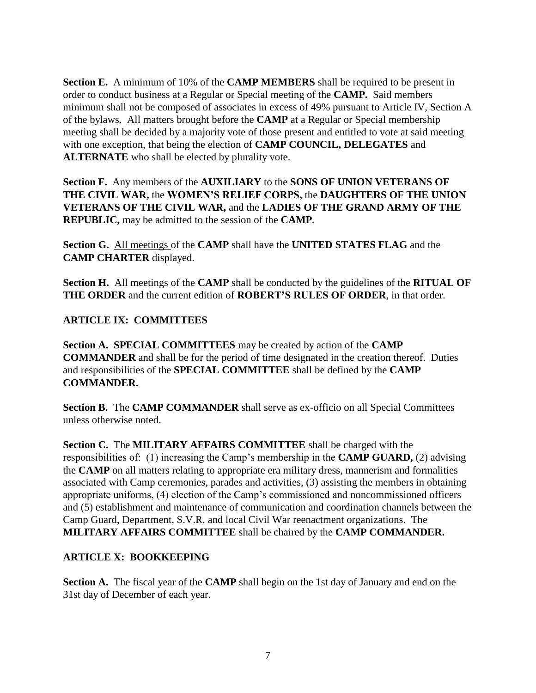**Section E.** A minimum of 10% of the **CAMP MEMBERS** shall be required to be present in order to conduct business at a Regular or Special meeting of the **CAMP.** Said members minimum shall not be composed of associates in excess of 49% pursuant to Article IV, Section A of the bylaws. All matters brought before the **CAMP** at a Regular or Special membership meeting shall be decided by a majority vote of those present and entitled to vote at said meeting with one exception, that being the election of **CAMP COUNCIL, DELEGATES** and **ALTERNATE** who shall be elected by plurality vote.

**Section F.** Any members of the **AUXILIARY** to the **SONS OF UNION VETERANS OF THE CIVIL WAR,** the **WOMEN'S RELIEF CORPS,** the **DAUGHTERS OF THE UNION VETERANS OF THE CIVIL WAR,** and the **LADIES OF THE GRAND ARMY OF THE REPUBLIC,** may be admitted to the session of the **CAMP.**

**Section G.** All meetings of the **CAMP** shall have the **UNITED STATES FLAG** and the **CAMP CHARTER** displayed.

**Section H.** All meetings of the **CAMP** shall be conducted by the guidelines of the **RITUAL OF THE ORDER** and the current edition of **ROBERT'S RULES OF ORDER**, in that order.

#### **ARTICLE IX: COMMITTEES**

**Section A. SPECIAL COMMITTEES** may be created by action of the **CAMP COMMANDER** and shall be for the period of time designated in the creation thereof. Duties and responsibilities of the **SPECIAL COMMITTEE** shall be defined by the **CAMP COMMANDER.**

**Section B.** The **CAMP COMMANDER** shall serve as ex-officio on all Special Committees unless otherwise noted.

**Section C.** The **MILITARY AFFAIRS COMMITTEE** shall be charged with the responsibilities of: (1) increasing the Camp's membership in the **CAMP GUARD,** (2) advising the **CAMP** on all matters relating to appropriate era military dress, mannerism and formalities associated with Camp ceremonies, parades and activities, (3) assisting the members in obtaining appropriate uniforms, (4) election of the Camp's commissioned and noncommissioned officers and (5) establishment and maintenance of communication and coordination channels between the Camp Guard, Department, S.V.R. and local Civil War reenactment organizations. The **MILITARY AFFAIRS COMMITTEE** shall be chaired by the **CAMP COMMANDER.**

### **ARTICLE X: BOOKKEEPING**

**Section A.** The fiscal year of the **CAMP** shall begin on the 1st day of January and end on the 31st day of December of each year.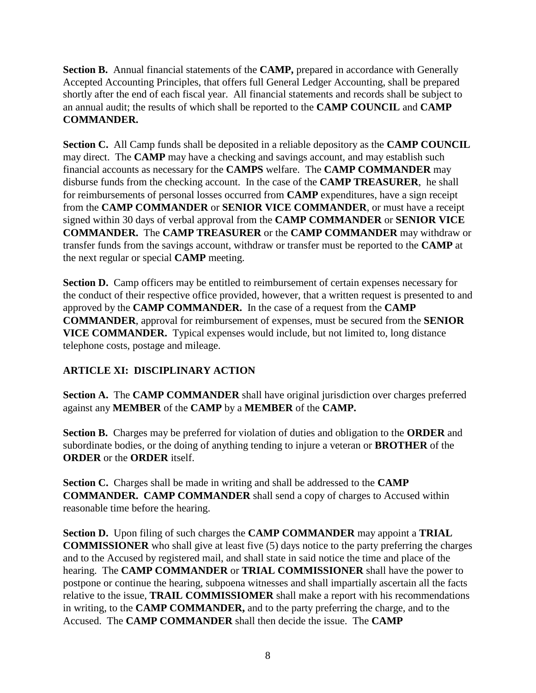**Section B.** Annual financial statements of the **CAMP**, prepared in accordance with Generally Accepted Accounting Principles, that offers full General Ledger Accounting, shall be prepared shortly after the end of each fiscal year. All financial statements and records shall be subject to an annual audit; the results of which shall be reported to the **CAMP COUNCIL** and **CAMP COMMANDER.**

**Section C.** All Camp funds shall be deposited in a reliable depository as the **CAMP COUNCIL** may direct. The **CAMP** may have a checking and savings account, and may establish such financial accounts as necessary for the **CAMPS** welfare. The **CAMP COMMANDER** may disburse funds from the checking account. In the case of the **CAMP TREASURER**, he shall for reimbursements of personal losses occurred from **CAMP** expenditures, have a sign receipt from the **CAMP COMMANDER** or **SENIOR VICE COMMANDER**, or must have a receipt signed within 30 days of verbal approval from the **CAMP COMMANDER** or **SENIOR VICE COMMANDER.** The **CAMP TREASURER** or the **CAMP COMMANDER** may withdraw or transfer funds from the savings account, withdraw or transfer must be reported to the **CAMP** at the next regular or special **CAMP** meeting.

**Section D.** Camp officers may be entitled to reimbursement of certain expenses necessary for the conduct of their respective office provided, however, that a written request is presented to and approved by the **CAMP COMMANDER.** In the case of a request from the **CAMP COMMANDER**, approval for reimbursement of expenses, must be secured from the **SENIOR VICE COMMANDER.** Typical expenses would include, but not limited to, long distance telephone costs, postage and mileage.

### **ARTICLE XI: DISCIPLINARY ACTION**

**Section A.** The **CAMP COMMANDER** shall have original jurisdiction over charges preferred against any **MEMBER** of the **CAMP** by a **MEMBER** of the **CAMP.**

**Section B.** Charges may be preferred for violation of duties and obligation to the **ORDER** and subordinate bodies, or the doing of anything tending to injure a veteran or **BROTHER** of the **ORDER** or the **ORDER** itself.

**Section C.** Charges shall be made in writing and shall be addressed to the **CAMP COMMANDER. CAMP COMMANDER** shall send a copy of charges to Accused within reasonable time before the hearing.

**Section D.** Upon filing of such charges the **CAMP COMMANDER** may appoint a **TRIAL COMMISSIONER** who shall give at least five (5) days notice to the party preferring the charges and to the Accused by registered mail, and shall state in said notice the time and place of the hearing. The **CAMP COMMANDER** or **TRIAL COMMISSIONER** shall have the power to postpone or continue the hearing, subpoena witnesses and shall impartially ascertain all the facts relative to the issue, **TRAIL COMMISSIOMER** shall make a report with his recommendations in writing, to the **CAMP COMMANDER,** and to the party preferring the charge, and to the Accused. The **CAMP COMMANDER** shall then decide the issue. The **CAMP**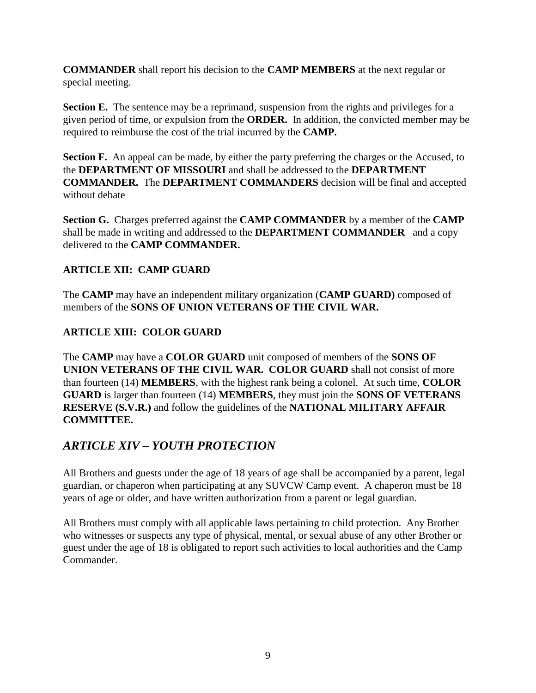**COMMANDER** shall report his decision to the **CAMP MEMBERS** at the next regular or special meeting.

**Section E.** The sentence may be a reprimand, suspension from the rights and privileges for a given period of time, or expulsion from the **ORDER.** In addition, the convicted member may be required to reimburse the cost of the trial incurred by the **CAMP.**

**Section F.** An appeal can be made, by either the party preferring the charges or the Accused, to the **DEPARTMENT OF MISSOURI** and shall be addressed to the **DEPARTMENT COMMANDER.** The **DEPARTMENT COMMANDERS** decision will be final and accepted without debate

**Section G.** Charges preferred against the **CAMP COMMANDER** by a member of the **CAMP** shall be made in writing and addressed to the **DEPARTMENT COMMANDER** and a copy delivered to the **CAMP COMMANDER.**

### **ARTICLE XII: CAMP GUARD**

The **CAMP** may have an independent military organization (**CAMP GUARD)** composed of members of the **SONS OF UNION VETERANS OF THE CIVIL WAR.**

### **ARTICLE XIII: COLOR GUARD**

The **CAMP** may have a **COLOR GUARD** unit composed of members of the **SONS OF UNION VETERANS OF THE CIVIL WAR. COLOR GUARD** shall not consist of more than fourteen (14) **MEMBERS**, with the highest rank being a colonel. At such time, **COLOR GUARD** is larger than fourteen (14) **MEMBERS**, they must join the **SONS OF VETERANS RESERVE (S.V.R.)** and follow the guidelines of the **NATIONAL MILITARY AFFAIR COMMITTEE.**

## *ARTICLE XIV – YOUTH PROTECTION*

All Brothers and guests under the age of 18 years of age shall be accompanied by a parent, legal guardian, or chaperon when participating at any SUVCW Camp event. A chaperon must be 18 years of age or older, and have written authorization from a parent or legal guardian.

All Brothers must comply with all applicable laws pertaining to child protection. Any Brother who witnesses or suspects any type of physical, mental, or sexual abuse of any other Brother or guest under the age of 18 is obligated to report such activities to local authorities and the Camp Commander.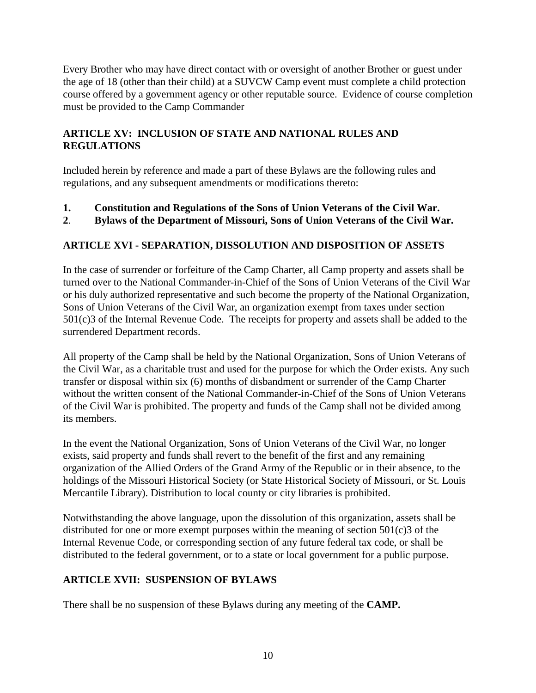Every Brother who may have direct contact with or oversight of another Brother or guest under the age of 18 (other than their child) at a SUVCW Camp event must complete a child protection course offered by a government agency or other reputable source. Evidence of course completion must be provided to the Camp Commander

### **ARTICLE XV: INCLUSION OF STATE AND NATIONAL RULES AND REGULATIONS**

Included herein by reference and made a part of these Bylaws are the following rules and regulations, and any subsequent amendments or modifications thereto:

- **1. Constitution and Regulations of the Sons of Union Veterans of the Civil War.**
- **2**. **Bylaws of the Department of Missouri, Sons of Union Veterans of the Civil War.**

### **ARTICLE XVI - SEPARATION, DISSOLUTION AND DISPOSITION OF ASSETS**

In the case of surrender or forfeiture of the Camp Charter, all Camp property and assets shall be turned over to the National Commander-in-Chief of the Sons of Union Veterans of the Civil War or his duly authorized representative and such become the property of the National Organization, Sons of Union Veterans of the Civil War, an organization exempt from taxes under section 501(c)3 of the Internal Revenue Code. The receipts for property and assets shall be added to the surrendered Department records.

All property of the Camp shall be held by the National Organization, Sons of Union Veterans of the Civil War, as a charitable trust and used for the purpose for which the Order exists. Any such transfer or disposal within six (6) months of disbandment or surrender of the Camp Charter without the written consent of the National Commander-in-Chief of the Sons of Union Veterans of the Civil War is prohibited. The property and funds of the Camp shall not be divided among its members.

In the event the National Organization, Sons of Union Veterans of the Civil War, no longer exists, said property and funds shall revert to the benefit of the first and any remaining organization of the Allied Orders of the Grand Army of the Republic or in their absence, to the holdings of the Missouri Historical Society (or State Historical Society of Missouri, or St. Louis Mercantile Library). Distribution to local county or city libraries is prohibited.

Notwithstanding the above language, upon the dissolution of this organization, assets shall be distributed for one or more exempt purposes within the meaning of section  $501(c)3$  of the Internal Revenue Code, or corresponding section of any future federal tax code, or shall be distributed to the federal government, or to a state or local government for a public purpose.

### **ARTICLE XVII: SUSPENSION OF BYLAWS**

There shall be no suspension of these Bylaws during any meeting of the **CAMP.**